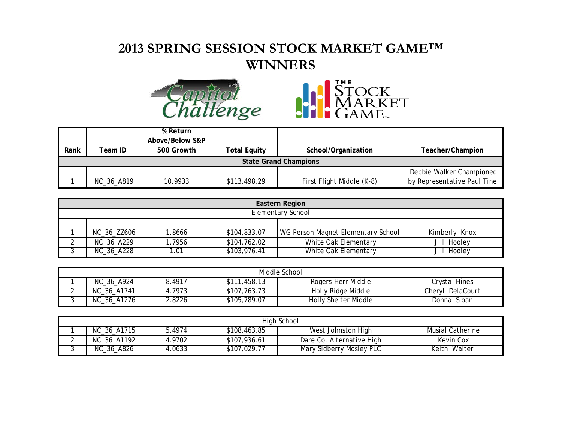## **2013 SPRING SESSION STOCK MARKET GAME™ WINNERS**





| Rank | Team ID                      | % Return<br>Above/Below S&P<br>500 Growth | Total Equity | School/Organization       | Teacher/Champion            |  |  |
|------|------------------------------|-------------------------------------------|--------------|---------------------------|-----------------------------|--|--|
|      |                              |                                           |              |                           |                             |  |  |
|      | <b>State Grand Champions</b> |                                           |              |                           |                             |  |  |
|      |                              |                                           |              |                           | Debbie Walker Championed    |  |  |
|      | NC_36_A819                   | 10.9933                                   | \$113,498.29 | First Flight Middle (K-8) | by Representative Paul Tine |  |  |

| Eastern Region           |       |              |                                    |               |  |  |
|--------------------------|-------|--------------|------------------------------------|---------------|--|--|
| <b>Elementary School</b> |       |              |                                    |               |  |  |
|                          |       |              |                                    |               |  |  |
| NC_36_ZZ606              | .8666 | \$104,833.07 | WG Person Magnet Elementary School | Kimberly Knox |  |  |
| NC_36_A229               | .7956 | \$104,762.02 | White Oak Elementary               | Jill Hooley   |  |  |
| NC_36_A228               | 1.01  | \$103,976.41 | White Oak Elementary               | Jill Hooley   |  |  |

| Middle School |                 |        |              |                      |                  |
|---------------|-----------------|--------|--------------|----------------------|------------------|
|               | NC_36_A924      | 8.4917 | \$111,458.13 | Rogers-Herr Middle   | Crvsta Hines     |
|               | NC_36_A1741     | 4.7973 | \$107,763.73 | Holly Ridge Middle   | Chervl DelaCourt |
|               | $NC_36$ $A1276$ | .8226  | \$105,789.07 | Holly Shelter Middle | Donna Sloan      |

| High School |             |        |              |                           |                         |
|-------------|-------------|--------|--------------|---------------------------|-------------------------|
|             | NC_36_A1715 | 5.4974 | \$108,463.85 | West Johnston High        | <b>Musial Catherine</b> |
|             | NC_36_A1192 | 4.9702 | \$107,936.61 | Dare Co. Alternative High | Kevin Cox               |
| ັ           | NC_36_A826  | .0633  | \$107,029.77 | Mary Sidberry Mosley PLC  | Keith Walter            |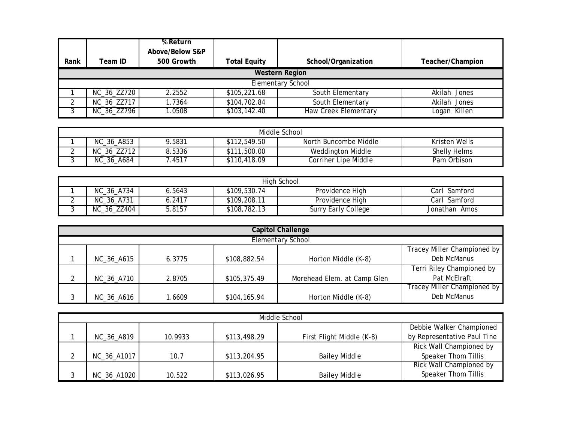| Rank | Team ID-              | % Return<br>Above/Below S&P<br>500 Growth | <b>Total Equity</b> | School/Organization         | Teacher/Champion |  |  |  |
|------|-----------------------|-------------------------------------------|---------------------|-----------------------------|------------------|--|--|--|
|      | <b>Western Region</b> |                                           |                     |                             |                  |  |  |  |
|      |                       |                                           |                     | <b>Elementary School</b>    |                  |  |  |  |
|      | NC_36_ZZ720           | 2.2552                                    | \$105,221.68        | South Elementary            | Akilah Jones     |  |  |  |
|      | NC_36_ZZ717           | 1.7364                                    | \$104,702.84        | South Elementary            | Akilah Jones     |  |  |  |
|      | NC_36_ZZ796           | .0508                                     | \$103,142.40        | <b>Haw Creek Elementary</b> | Logan Killen     |  |  |  |

| Middle School |                           |        |              |                       |                     |  |
|---------------|---------------------------|--------|--------------|-----------------------|---------------------|--|
|               | NC_36_A853                | 9.5831 | \$112,549.50 | North Buncombe Middle | Kristen Wells       |  |
|               | NC_36_ZZ712               | 8.5336 | \$111,500.00 | Weddington Middle     | <b>Shelly Helms</b> |  |
|               | $\_$ Ā684<br>NC .<br>_36_ | .4517  | \$110,418.09 | Corriher Lipe Middle  | Pam Orbison         |  |

| High School |             |        |              |                            |               |  |
|-------------|-------------|--------|--------------|----------------------------|---------------|--|
|             | NC_36_A734  | 5643.ر | \$109,530.74 | Providence High            | Carl Samford  |  |
| -           | NC_36_A731  | .2417  | \$109,208.11 | Providence High            | Carl Samford  |  |
|             | NC_36_ZZ404 | .8157  | \$108,782.13 | <b>Surry Early College</b> | Jonathan Amos |  |

|                             | <b>Capitol Challenge</b> |        |              |                             |                             |  |  |
|-----------------------------|--------------------------|--------|--------------|-----------------------------|-----------------------------|--|--|
|                             | <b>Elementary School</b> |        |              |                             |                             |  |  |
| Tracey Miller Championed by |                          |        |              |                             |                             |  |  |
|                             | NC_36_A615               | 6.3775 | \$108,882.54 | Horton Middle (K-8)         | Deb McManus                 |  |  |
|                             |                          |        |              |                             | Terri Riley Championed by   |  |  |
|                             | NC_36_A710               | 2.8705 | \$105,375.49 | Morehead Elem. at Camp Glen | Pat McElraft                |  |  |
|                             |                          |        |              |                             | Tracey Miller Championed by |  |  |
|                             | NC_36_A616               | .6609  | \$104,165.94 | Horton Middle (K-8)         | Deb McManus                 |  |  |

| Middle School |         |              |                           |                             |  |  |
|---------------|---------|--------------|---------------------------|-----------------------------|--|--|
|               |         |              |                           | Debbie Walker Championed    |  |  |
| NC_36_A819    | 10.9933 | \$113,498.29 | First Flight Middle (K-8) | by Representative Paul Tine |  |  |
|               |         |              |                           | Rick Wall Championed by     |  |  |
| NC_36_A1017   | 10.7    | \$113,204.95 | <b>Bailey Middle</b>      | Speaker Thom Tillis         |  |  |
|               |         |              |                           | Rick Wall Championed by     |  |  |
| NC_36_A1020   | 10.522  | \$113,026.95 | <b>Bailey Middle</b>      | Speaker Thom Tillis         |  |  |